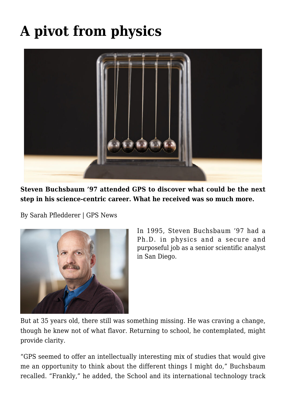# **[A pivot from physics](https://gpsnews.ucsd.edu/a-pivot-from-physics/)**



**Steven Buchsbaum '97 attended GPS to discover what could be the next step in his science-centric career. What he received was so much more.**

By Sarah Pfledderer | GPS News



In 1995, Steven Buchsbaum '97 had a Ph.D. in physics and a secure and purposeful job as a senior scientific analyst in San Diego.

But at 35 years old, there still was something missing. He was craving a change, though he knew not of what flavor. Returning to school, he contemplated, might provide clarity.

"GPS seemed to offer an intellectually interesting mix of studies that would give me an opportunity to think about the different things I might do," Buchsbaum recalled. "Frankly," he added, the School and its international technology track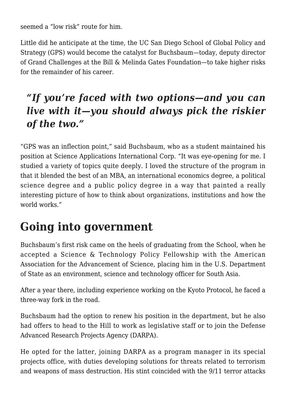seemed a "low risk" route for him.

Little did he anticipate at the time, the UC San Diego School of Global Policy and Strategy (GPS) would become the catalyst for Buchsbaum—today, deputy director of Grand Challenges at the Bill & Melinda Gates Foundation—to take higher risks for the remainder of his career.

#### *"If you're faced with two options—and you can live with it—you should always pick the riskier of the two."*

"GPS was an inflection point," said Buchsbaum, who as a student maintained his position at Science Applications International Corp. "It was eye-opening for me. I studied a variety of topics quite deeply. I loved the structure of the program in that it blended the best of an MBA, an international economics degree, a political science degree and a public policy degree in a way that painted a really interesting picture of how to think about organizations, institutions and how the world works."

### **Going into government**

Buchsbaum's first risk came on the heels of graduating from the School, when he accepted a Science & Technology Policy Fellowship with the American Association for the Advancement of Science, placing him in the U.S. Department of State as an environment, science and technology officer for South Asia.

After a year there, including experience working on the Kyoto Protocol, he faced a three-way fork in the road.

Buchsbaum had the option to renew his position in the department, but he also had offers to head to the Hill to work as legislative staff or to join the Defense Advanced Research Projects Agency (DARPA).

He opted for the latter, joining DARPA as a program manager in its special projects office, with duties developing solutions for threats related to terrorism and weapons of mass destruction. His stint coincided with the 9/11 terror attacks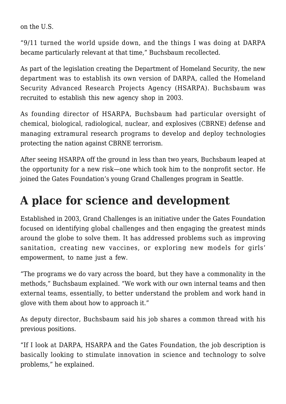on the U.S.

"9/11 turned the world upside down, and the things I was doing at DARPA became particularly relevant at that time," Buchsbaum recollected.

As part of the legislation creating the Department of Homeland Security, the new department was to establish its own version of DARPA, called the Homeland Security Advanced Research Projects Agency (HSARPA). Buchsbaum was recruited to establish this new agency shop in 2003.

As founding director of HSARPA, Buchsbaum had particular oversight of chemical, biological, radiological, nuclear, and explosives (CBRNE) defense and managing extramural research programs to develop and deploy technologies protecting the nation against CBRNE terrorism.

After seeing HSARPA off the ground in less than two years, Buchsbaum leaped at the opportunity for a new risk—one which took him to the nonprofit sector. He joined the Gates Foundation's young Grand Challenges program in Seattle.

## **A place for science and development**

Established in 2003, Grand Challenges is an initiative under the Gates Foundation focused on identifying global challenges and then engaging the greatest minds around the globe to solve them. It has addressed problems such as improving sanitation, creating new vaccines, or exploring new models for girls' empowerment, to name just a few.

"The programs we do vary across the board, but they have a commonality in the methods," Buchsbaum explained. "We work with our own internal teams and then external teams, essentially, to better understand the problem and work hand in glove with them about how to approach it."

As deputy director, Buchsbaum said his job shares a common thread with his previous positions.

"If I look at DARPA, HSARPA and the Gates Foundation, the job description is basically looking to stimulate innovation in science and technology to solve problems," he explained.